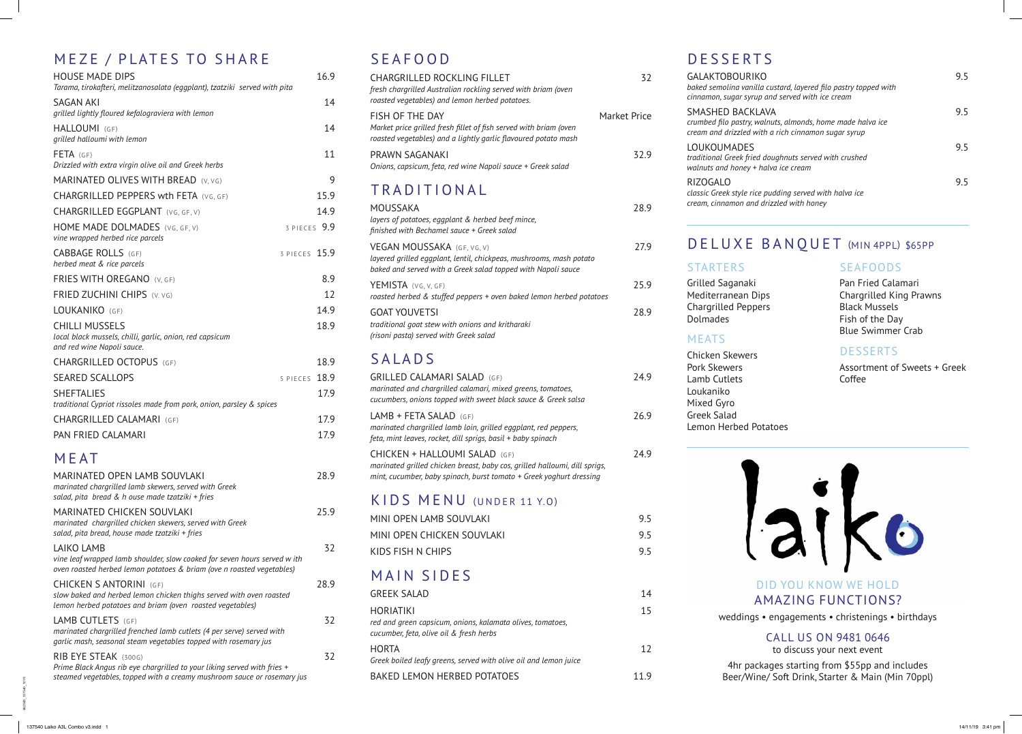662580\_137540\_1019

### MEZE / PLATES TO SHARE

| <b>HOUSE MADE DIPS</b><br>Tarama, tirokafteri, melitzanosalata (eggplant), tzatziki served with pita                                      |               | 16.9 |
|-------------------------------------------------------------------------------------------------------------------------------------------|---------------|------|
| <b>SAGAN AKI</b><br>grilled lightly floured kefalograviera with lemon                                                                     |               | 14   |
| HALLOUMI (GF)<br>grilled halloumi with lemon                                                                                              |               | 14   |
| FETA (GF)<br>Drizzled with extra virgin olive oil and Greek herbs                                                                         |               | 11   |
| MARINATED OLIVES WITH BREAD (V, VG)                                                                                                       |               | 9    |
| <b>CHARGRILLED PEPPERS wth FETA (VG, GF)</b>                                                                                              |               | 15.9 |
| CHARGRILLED EGGPLANT (VG, GF, V)                                                                                                          |               | 14.9 |
| HOME MADE DOLMADES (VG, GF, V)<br>vine wrapped herbed rice parcels                                                                        | 3 PIECES 9.9  |      |
| <b>CABBAGE ROLLS (GF)</b><br>herbed meat & rice parcels                                                                                   | 3 PIECES 15.9 |      |
| <b>FRIES WITH OREGANO (V, GF)</b>                                                                                                         |               | 8.9  |
| FRIED ZUCHINI CHIPS (V. VG)                                                                                                               |               | 12   |
| LOUKANIKO (GF)                                                                                                                            |               | 14.9 |
| <b>CHILLI MUSSELS</b><br>local black mussels, chilli, garlic, onion, red capsicum<br>and red wine Napoli sauce.                           |               | 18.9 |
| <b>CHARGRILLED OCTOPUS (GF)</b>                                                                                                           |               | 18.9 |
| <b>SEARED SCALLOPS</b>                                                                                                                    | 5 PIECES      | 18.9 |
| <b>SHEFTALIES</b><br>traditional Cypriot rissoles made from pork, onion, parsley & spices                                                 |               | 17.9 |
| <b>CHARGRILLED CALAMARI (GF)</b>                                                                                                          |               | 17.9 |
| PAN FRIED CALAMARI                                                                                                                        |               | 17.9 |
| MEAT                                                                                                                                      |               |      |
| MARINATED OPEN LAMB SOUVLAKI<br>marinated chargrilled lamb skewers, served with Greek<br>salad, pita bread & h ouse made tzatziki + fries |               | 28.9 |

| sataa, pita-breaa & n ouse maae tzatziki + fries                                                                                                                            |      |
|-----------------------------------------------------------------------------------------------------------------------------------------------------------------------------|------|
| <b>MARINATED CHICKEN SOUVLAKI</b><br>marinated chargrilled chicken skewers, served with Greek<br>salad, pita bread, house made tzatziki + fries                             | 25.9 |
| LAIKO LAMB<br>vine leaf wrapped lamb shoulder, slow cooked for seven hours served w ith<br>oven roasted herbed lemon potatoes & briam (ove n roasted vegetables)            | 32   |
| <b>CHICKEN S ANTORINI (GF)</b><br>slow baked and herbed lemon chicken thighs served with oven roasted<br>lemon herbed potatoes and briam (oven roasted vegetables)          | 28.9 |
| LAMB CUTLETS (GF)<br>marinated chargrilled frenched lamb cutlets (4 per serve) served with<br>garlic mash, seasonal steam vegetables topped with rosemary jus               | 32   |
| RIB EYE STEAK (300G)<br>Prime Black Angus rib eye chargrilled to your liking served with fries +<br>steamed vegetables, topped with a creamy mushroom sauce or rosemary jus | 32   |

### SEAFOOD

GALAKTOBOU *baked semolina vanilla custard, layered filo pastry topped with cinnamon, sugar* SMASHED BAC *crumbed filo pastry, walnuts, almonds, home made halva ice* 

| JLAI VV <i>V</i>                                                                                                                                                   |                     |
|--------------------------------------------------------------------------------------------------------------------------------------------------------------------|---------------------|
| <b>CHARGRILLED ROCKLING FILLET</b><br>fresh chargrilled Australian rockling served with briam (oven<br>roasted vegetables) and lemon herbed potatoes.              | 32                  |
| FISH OF THE DAY<br>Market price grilled fresh fillet of fish served with briam (oven<br>roasted vegetables) and a lightly garlic flavoured potato mash             | <b>Market Price</b> |
| PRAWN SAGANAKI<br>Onions, capsicum, feta, red wine Napoli sauce + Greek salad                                                                                      | 32.9                |
| TRADITIONAL                                                                                                                                                        |                     |
| <b>MOUSSAKA</b><br>layers of potatoes, eggplant & herbed beef mince,<br>finished with Bechamel sauce + Greek salad                                                 | 28.9                |
| VEGAN MOUSSAKA (GF, VG, V)<br>layered grilled eggplant, lentil, chickpeas, mushrooms, mash potato<br>baked and served with a Greek salad topped with Napoli sauce  | 27.9                |
| YEMISTA (VG, V, GF)<br>roasted herbed & stuffed peppers + oven baked lemon herbed potatoes                                                                         | 25.9                |
| <b>GOAT YOUVETSI</b><br>traditional goat stew with onions and kritharaki<br>(risoni pasta) served with Greek salad                                                 | 28.9                |
| SALADS                                                                                                                                                             |                     |
| <b>GRILLED CALAMARI SALAD (GF)</b><br>marinated and chargrilled calamari, mixed greens, tomatoes,<br>cucumbers, onions topped with sweet black sauce & Greek salsa | 24.9                |
| $LAMB + FETA SALAD$ (GF)<br>marinated chargrilled lamb loin, grilled eggplant, red peppers,<br>feta, mint leaves, rocket, dill sprigs, basil + baby spinach        | 26.9                |
| CHICKEN + HALLOUMI SALAD (GF)<br>marinated grilled chicken breast, baby cos, grilled halloumi, dill sprigs,                                                        | 24.9                |

### KIDS MENU (UNDER 11 Y.O)

*mint, cucumber, baby spinach, burst tomato + Greek yoghurt dressing*

| 9.5 |
|-----|
| 95  |
| 95  |
|     |

### MAIN SIDES

| GREEK SALAD                                                                                                        | 14  |  |
|--------------------------------------------------------------------------------------------------------------------|-----|--|
| HORIATIKI<br>red and green capsicum, onions, kalamata olives, tomatoes,<br>cucumber, feta, olive oil & fresh herbs | 15  |  |
| HORTA<br>Greek boiled leafy greens, served with olive oil and lemon juice                                          | 12  |  |
| BAKED LEMON HERBED POTATOES                                                                                        | 119 |  |

# DESSER

| <b>DESSERTS</b>                                                                                                                             |    |
|---------------------------------------------------------------------------------------------------------------------------------------------|----|
| <b>GALAKTOBOURIKO</b><br>baked semolina vanilla custard, layered filo pastry topped with<br>cinnamon, sugar syrup and served with ice cream | 95 |
| SMASHED BACKLAVA<br>crumbed filo pastry, walnuts, almonds, home made halva ice<br>cream and drizzled with a rich cinnamon sugar syrup       | 95 |
| LOUKOUMADES<br>traditional Greek fried doughnuts served with crushed<br>walnuts and honey + halva ice cream                                 | 95 |
| <b>RIZOGALO</b><br>classic Greek style rice pudding served with halva ice<br>cream, cinnamon and drizzled with honey                        | 95 |

### DELUXE BANQUET (MIN 4PPL) \$65PP

**SEAFOODS** 

#### DID YOU KNOW WE HOLD AMAZING FUNCTIONS? weddings • engagements • christenings • birthdays

CALL US ON 9481 0646 to discuss your next event 4hr packages starting from \$55pp and includes Beer/Wine/ Soft Drink, Starter & Main (Min 70ppl)

### STARTERS

Grilled Saganaki Mediterranean Dips Chargrilled Peppers Dolmades

#### MEATS

Chicken Skewers Pork Skewers Lamb Cutlets Loukaniko Mixed Gyro Greek Salad Lemon Herbed Potatoes



Pan Fried Calamari Chargrilled King Prawns Black Mussels Fish of the Day Blue Swimmer Crab

#### **DESSERTS**

Assortment of Sweets + Greek Coffee